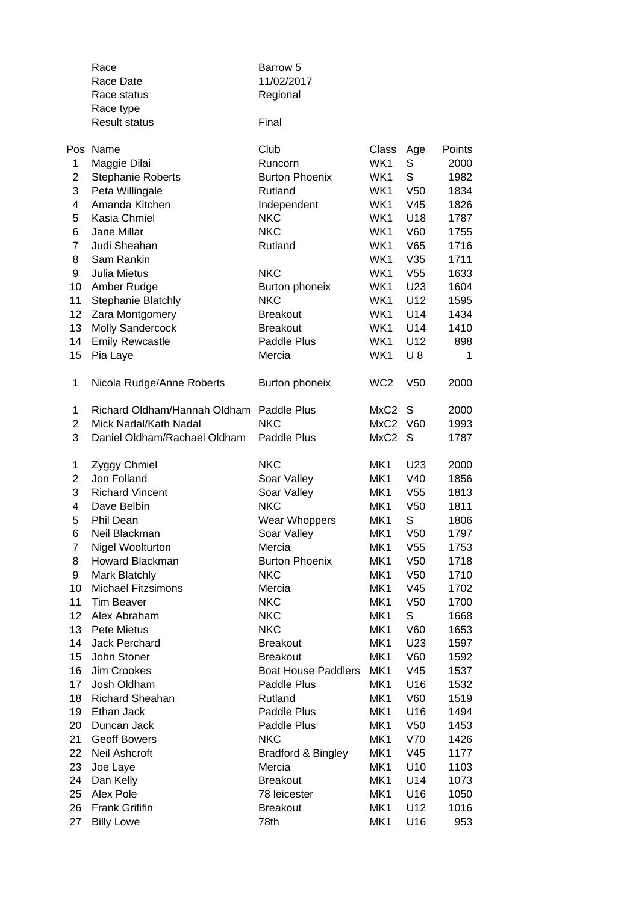|                | Race<br>Race Date<br>Race status<br>Race type<br><b>Result status</b> | Barrow 5<br>11/02/2017<br>Regional<br>Final |                 |                 |        |
|----------------|-----------------------------------------------------------------------|---------------------------------------------|-----------------|-----------------|--------|
| Pos            | Name                                                                  | Club                                        | Class           | Age             | Points |
| 1              | Maggie Dilai                                                          | Runcorn                                     | WK1             | S               | 2000   |
| 2              | <b>Stephanie Roberts</b>                                              | <b>Burton Phoenix</b>                       | WK1             | S               | 1982   |
| 3              | Peta Willingale                                                       | Rutland                                     | WK1             | V <sub>50</sub> | 1834   |
| 4              | Amanda Kitchen                                                        | Independent                                 | WK1             | V45             | 1826   |
| 5              | Kasia Chmiel                                                          | <b>NKC</b>                                  | WK1             | U18             | 1787   |
| 6              | Jane Millar                                                           | <b>NKC</b>                                  | WK1             | V60             | 1755   |
| 7              | Judi Sheahan                                                          | Rutland                                     | WK1             | V65             | 1716   |
| 8              | Sam Rankin                                                            |                                             | WK1             | V35             | 1711   |
| 9              | Julia Mietus                                                          | <b>NKC</b>                                  | WK1             | V <sub>55</sub> | 1633   |
| 10             | Amber Rudge                                                           | Burton phoneix                              | WK1             | U23             | 1604   |
| 11             | Stephanie Blatchly                                                    | <b>NKC</b>                                  | WK1             | U12             | 1595   |
| 12             | Zara Montgomery                                                       | <b>Breakout</b>                             | WK1             | U14             | 1434   |
| 13             | <b>Molly Sandercock</b>                                               | <b>Breakout</b>                             | WK1             | U14             | 1410   |
| 14             | <b>Emily Rewcastle</b>                                                | Paddle Plus                                 | WK1             | U12             | 898    |
| 15             | Pia Laye                                                              | Mercia                                      | WK1             | $U_8$           | 1      |
|                |                                                                       |                                             |                 |                 |        |
| $\mathbf{1}$   | Nicola Rudge/Anne Roberts                                             | Burton phoneix                              | WC <sub>2</sub> | V <sub>50</sub> | 2000   |
| 1              | Richard Oldham/Hannah Oldham Paddle Plus                              |                                             | MxC2            | S               | 2000   |
| $\overline{c}$ | Mick Nadal/Kath Nadal                                                 | <b>NKC</b>                                  | MxC2 V60        |                 | 1993   |
| 3              | Daniel Oldham/Rachael Oldham                                          | Paddle Plus                                 | MxC2            | - S             | 1787   |
| 1              | Zyggy Chmiel                                                          | <b>NKC</b>                                  | MK1             | U23             | 2000   |
| $\overline{c}$ | Jon Folland                                                           | Soar Valley                                 | MK1             | V40             | 1856   |
| 3              | <b>Richard Vincent</b>                                                | Soar Valley                                 | MK1             | V <sub>55</sub> | 1813   |
| 4              | Dave Belbin                                                           | <b>NKC</b>                                  | MK1             | V <sub>50</sub> | 1811   |
| 5              | <b>Phil Dean</b>                                                      | <b>Wear Whoppers</b>                        | MK1             | S               | 1806   |
| 6              | Neil Blackman                                                         | Soar Valley                                 | MK1             | V50             | 1797   |
| 7              | Nigel Woolturton                                                      | Mercia                                      | MK1             | V <sub>55</sub> | 1753   |
| 8              | Howard Blackman                                                       | <b>Burton Phoenix</b>                       | MK1             | V <sub>50</sub> | 1718   |
| 9              | Mark Blatchly                                                         | <b>NKC</b>                                  | MK1             | V <sub>50</sub> | 1710   |
| 10             | <b>Michael Fitzsimons</b>                                             | Mercia                                      | MK1             | V45             | 1702   |
| 11             | Tim Beaver                                                            | <b>NKC</b>                                  | MK1             | V <sub>50</sub> | 1700   |
| 12             | Alex Abraham                                                          | <b>NKC</b>                                  | MK1             | $\mathsf S$     | 1668   |
| 13             | Pete Mietus                                                           | <b>NKC</b>                                  | MK1             | V60             | 1653   |
| 14             | Jack Perchard                                                         | <b>Breakout</b>                             | MK1             | U23             | 1597   |
| 15             | John Stoner                                                           | <b>Breakout</b>                             | MK1             | V60             | 1592   |
| 16             | Jim Crookes                                                           | <b>Boat House Paddlers</b>                  | MK1             | V45             | 1537   |
| 17             | Josh Oldham                                                           | Paddle Plus                                 | MK1             | U16             | 1532   |
| 18             | Richard Sheahan                                                       | Rutland                                     | MK1             | V60             | 1519   |
| 19             | Ethan Jack                                                            | Paddle Plus                                 | MK1             | U16             | 1494   |
| 20             | Duncan Jack                                                           | Paddle Plus                                 | MK1             | V <sub>50</sub> | 1453   |
| 21             | <b>Geoff Bowers</b>                                                   | <b>NKC</b>                                  | MK1             | V70             | 1426   |
| 22             | Neil Ashcroft                                                         | <b>Bradford &amp; Bingley</b>               | MK1             | V45             | 1177   |
| 23             | Joe Laye                                                              | Mercia                                      | MK1             | U10             | 1103   |
| 24             | Dan Kelly                                                             | <b>Breakout</b>                             | MK1             | U14             | 1073   |
| 25             | Alex Pole                                                             | 78 leicester                                | MK1             | U16             | 1050   |
| 26             | <b>Frank Grififin</b>                                                 | <b>Breakout</b>                             | MK1             | U12             | 1016   |
| 27             | <b>Billy Lowe</b>                                                     | 78th                                        | MK1             | U16             | 953    |